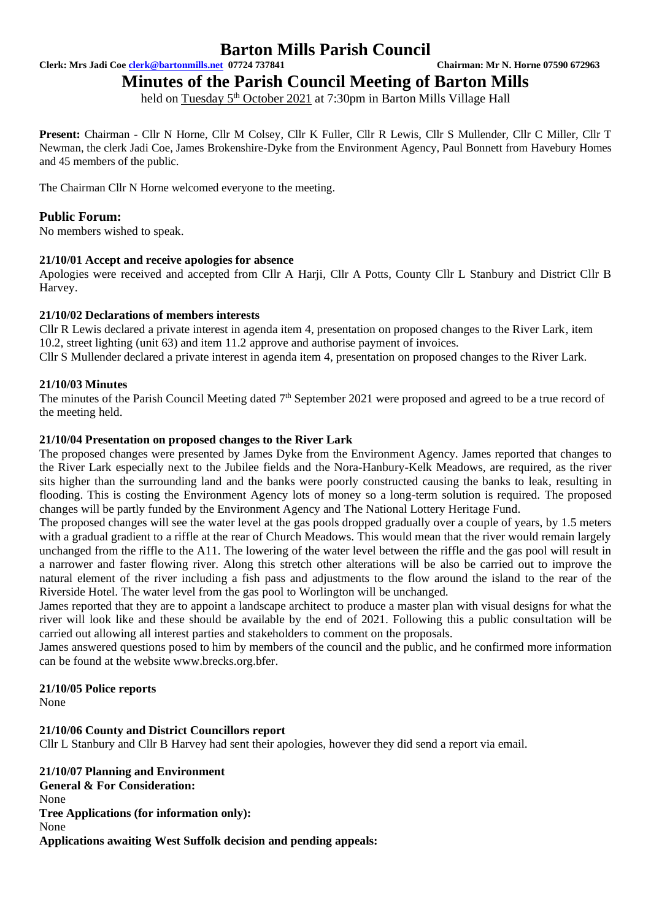**Clerk: Mrs Jadi Coe [clerk@bartonmills.net](mailto:clerk@bartonmills.net) 07724 737841 Chairman: Mr N. Horne 07590 672963**

**Minutes of the Parish Council Meeting of Barton Mills** 

held on Tuesday 5<sup>th</sup> October 2021 at 7:30pm in Barton Mills Village Hall

**Present:** Chairman - Cllr N Horne, Cllr M Colsey, Cllr K Fuller, Cllr R Lewis, Cllr S Mullender, Cllr C Miller, Cllr T Newman, the clerk Jadi Coe, James Brokenshire-Dyke from the Environment Agency, Paul Bonnett from Havebury Homes and 45 members of the public.

The Chairman Cllr N Horne welcomed everyone to the meeting.

#### **Public Forum:**

No members wished to speak.

#### **21/10/01 Accept and receive apologies for absence**

Apologies were received and accepted from Cllr A Harji, Cllr A Potts, County Cllr L Stanbury and District Cllr B Harvey.

#### **21/10/02 Declarations of members interests**

Cllr R Lewis declared a private interest in agenda item 4, presentation on proposed changes to the River Lark, item 10.2, street lighting (unit 63) and item 11.2 approve and authorise payment of invoices.

Cllr S Mullender declared a private interest in agenda item 4, presentation on proposed changes to the River Lark.

#### **21/10/03 Minutes**

The minutes of the Parish Council Meeting dated 7<sup>th</sup> September 2021 were proposed and agreed to be a true record of the meeting held.

#### **21/10/04 Presentation on proposed changes to the River Lark**

The proposed changes were presented by James Dyke from the Environment Agency. James reported that changes to the River Lark especially next to the Jubilee fields and the Nora-Hanbury-Kelk Meadows, are required, as the river sits higher than the surrounding land and the banks were poorly constructed causing the banks to leak, resulting in flooding. This is costing the Environment Agency lots of money so a long-term solution is required. The proposed changes will be partly funded by the Environment Agency and The National Lottery Heritage Fund.

The proposed changes will see the water level at the gas pools dropped gradually over a couple of years, by 1.5 meters with a gradual gradient to a riffle at the rear of Church Meadows. This would mean that the river would remain largely unchanged from the riffle to the A11. The lowering of the water level between the riffle and the gas pool will result in a narrower and faster flowing river. Along this stretch other alterations will be also be carried out to improve the natural element of the river including a fish pass and adjustments to the flow around the island to the rear of the Riverside Hotel. The water level from the gas pool to Worlington will be unchanged.

James reported that they are to appoint a landscape architect to produce a master plan with visual designs for what the river will look like and these should be available by the end of 2021. Following this a public consultation will be carried out allowing all interest parties and stakeholders to comment on the proposals.

James answered questions posed to him by members of the council and the public, and he confirmed more information can be found at the website www.brecks.org.bfer.

#### **21/10/05 Police reports**

None

#### **21/10/06 County and District Councillors report**

Cllr L Stanbury and Cllr B Harvey had sent their apologies, however they did send a report via email.

**21/10/07 Planning and Environment General & For Consideration:** None **Tree Applications (for information only):** None **Applications awaiting West Suffolk decision and pending appeals:**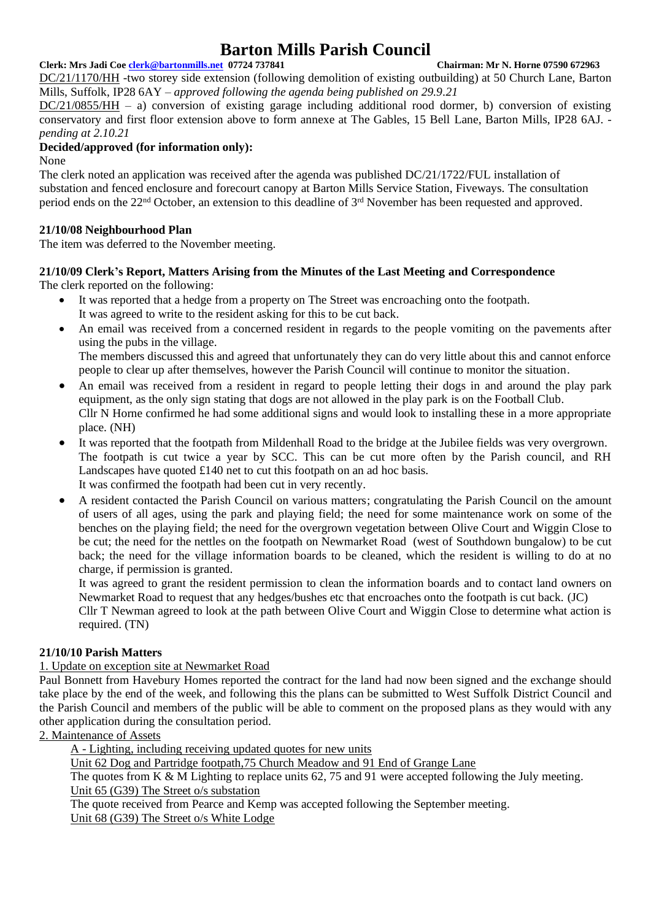**Clerk: Mrs Jadi Coe [clerk@bartonmills.net](mailto:clerk@bartonmills.net) 07724 737841 Chairman: Mr N. Horne 07590 672963** DC/21/1170/HH -two storey side extension (following demolition of existing outbuilding) at 50 Church Lane, Barton Mills, Suffolk, IP28 6AY *– approved following the agenda being published on 29.9.21*

DC/21/0855/HH – a) conversion of existing garage including additional rood dormer, b) conversion of existing conservatory and first floor extension above to form annexe at The Gables, 15 Bell Lane, Barton Mills, IP28 6AJ.  *pending at 2.10.21*

#### **Decided/approved (for information only):**

None

The clerk noted an application was received after the agenda was published DC/21/1722/FUL installation of substation and fenced enclosure and forecourt canopy at Barton Mills Service Station, Fiveways. The consultation period ends on the 22nd October, an extension to this deadline of 3rd November has been requested and approved.

### **21/10/08 Neighbourhood Plan**

The item was deferred to the November meeting.

# **21/10/09 Clerk's Report, Matters Arising from the Minutes of the Last Meeting and Correspondence**

The clerk reported on the following:

- It was reported that a hedge from a property on The Street was encroaching onto the footpath. It was agreed to write to the resident asking for this to be cut back.
- An email was received from a concerned resident in regards to the people vomiting on the pavements after using the pubs in the village. The members discussed this and agreed that unfortunately they can do very little about this and cannot enforce

people to clear up after themselves, however the Parish Council will continue to monitor the situation.

- An email was received from a resident in regard to people letting their dogs in and around the play park equipment, as the only sign stating that dogs are not allowed in the play park is on the Football Club. Cllr N Horne confirmed he had some additional signs and would look to installing these in a more appropriate place. (NH)
- It was reported that the footpath from Mildenhall Road to the bridge at the Jubilee fields was very overgrown. The footpath is cut twice a year by SCC. This can be cut more often by the Parish council, and RH Landscapes have quoted £140 net to cut this footpath on an ad hoc basis. It was confirmed the footpath had been cut in very recently.
- A resident contacted the Parish Council on various matters; congratulating the Parish Council on the amount of users of all ages, using the park and playing field; the need for some maintenance work on some of the benches on the playing field; the need for the overgrown vegetation between Olive Court and Wiggin Close to be cut; the need for the nettles on the footpath on Newmarket Road (west of Southdown bungalow) to be cut back; the need for the village information boards to be cleaned, which the resident is willing to do at no charge, if permission is granted.

It was agreed to grant the resident permission to clean the information boards and to contact land owners on Newmarket Road to request that any hedges/bushes etc that encroaches onto the footpath is cut back. (JC)

Cllr T Newman agreed to look at the path between Olive Court and Wiggin Close to determine what action is required. (TN)

### **21/10/10 Parish Matters**

#### 1. Update on exception site at Newmarket Road

Paul Bonnett from Havebury Homes reported the contract for the land had now been signed and the exchange should take place by the end of the week, and following this the plans can be submitted to West Suffolk District Council and the Parish Council and members of the public will be able to comment on the proposed plans as they would with any other application during the consultation period.

#### 2. Maintenance of Assets

A - Lighting, including receiving updated quotes for new units

Unit 62 Dog and Partridge footpath,75 Church Meadow and 91 End of Grange Lane

The quotes from K & M Lighting to replace units 62, 75 and 91 were accepted following the July meeting. Unit 65 (G39) The Street o/s substation

The quote received from Pearce and Kemp was accepted following the September meeting. Unit 68 (G39) The Street o/s White Lodge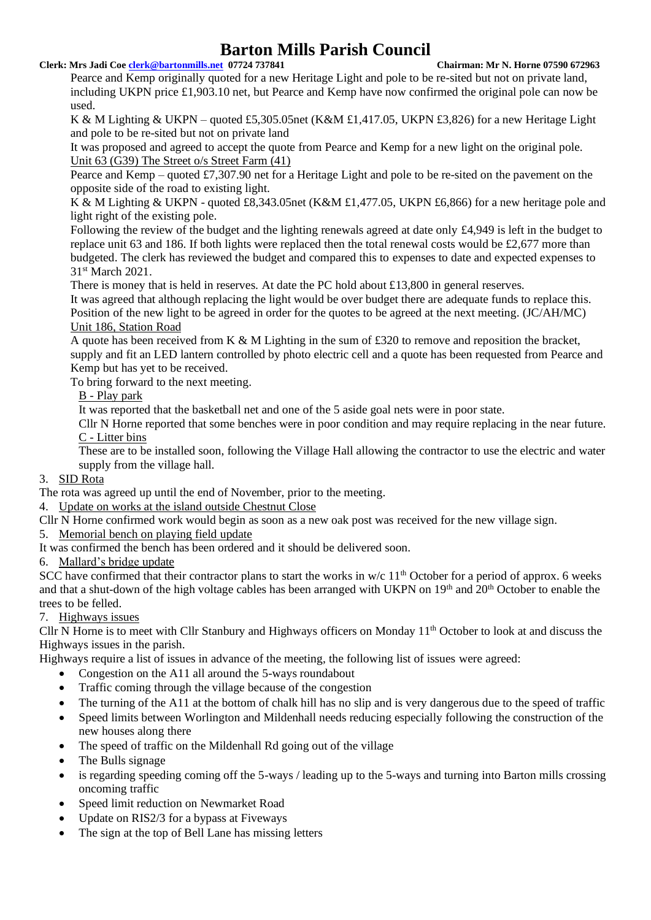#### **Clerk: Mrs Jadi Coe [clerk@bartonmills.net](mailto:clerk@bartonmills.net) 07724 737841 Chairman: Mr N. Horne 07590 672963**

Pearce and Kemp originally quoted for a new Heritage Light and pole to be re-sited but not on private land, including UKPN price £1,903.10 net, but Pearce and Kemp have now confirmed the original pole can now be used.

K & M Lighting & UKPN – quoted £5,305.05net (K&M £1,417.05, UKPN £3,826) for a new Heritage Light and pole to be re-sited but not on private land

It was proposed and agreed to accept the quote from Pearce and Kemp for a new light on the original pole. Unit 63 (G39) The Street o/s Street Farm (41)

Pearce and Kemp – quoted £7,307.90 net for a Heritage Light and pole to be re-sited on the pavement on the opposite side of the road to existing light.

K & M Lighting & UKPN - quoted £8,343.05net (K&M £1,477.05, UKPN £6,866) for a new heritage pole and light right of the existing pole.

Following the review of the budget and the lighting renewals agreed at date only £4,949 is left in the budget to replace unit 63 and 186. If both lights were replaced then the total renewal costs would be £2,677 more than budgeted. The clerk has reviewed the budget and compared this to expenses to date and expected expenses to 31st March 2021.

There is money that is held in reserves. At date the PC hold about £13,800 in general reserves.

It was agreed that although replacing the light would be over budget there are adequate funds to replace this. Position of the new light to be agreed in order for the quotes to be agreed at the next meeting. (JC/AH/MC) Unit 186, Station Road

A quote has been received from K & M Lighting in the sum of £320 to remove and reposition the bracket, supply and fit an LED lantern controlled by photo electric cell and a quote has been requested from Pearce and Kemp but has yet to be received.

To bring forward to the next meeting.

#### B - Play park

It was reported that the basketball net and one of the 5 aside goal nets were in poor state.

Cllr N Horne reported that some benches were in poor condition and may require replacing in the near future. C - Litter bins

These are to be installed soon, following the Village Hall allowing the contractor to use the electric and water supply from the village hall.

#### 3. SID Rota

The rota was agreed up until the end of November, prior to the meeting.

4. Update on works at the island outside Chestnut Close

Cllr N Horne confirmed work would begin as soon as a new oak post was received for the new village sign.

5. Memorial bench on playing field update

It was confirmed the bench has been ordered and it should be delivered soon.

### 6. Mallard's bridge update

SCC have confirmed that their contractor plans to start the works in w/c  $11<sup>th</sup>$  October for a period of approx. 6 weeks and that a shut-down of the high voltage cables has been arranged with UKPN on 19<sup>th</sup> and 20<sup>th</sup> October to enable the trees to be felled.

### 7. Highways issues

Cllr N Horne is to meet with Cllr Stanbury and Highways officers on Monday 11th October to look at and discuss the Highways issues in the parish.

Highways require a list of issues in advance of the meeting, the following list of issues were agreed:

- Congestion on the A11 all around the 5-ways roundabout
- Traffic coming through the village because of the congestion
- The turning of the A11 at the bottom of chalk hill has no slip and is very dangerous due to the speed of traffic
- Speed limits between Worlington and Mildenhall needs reducing especially following the construction of the new houses along there
- The speed of traffic on the Mildenhall Rd going out of the village
- The Bulls signage
- is regarding speeding coming off the 5-ways / leading up to the 5-ways and turning into Barton mills crossing oncoming traffic
- Speed limit reduction on Newmarket Road
- Update on RIS2/3 for a bypass at Fiveways
- The sign at the top of Bell Lane has missing letters